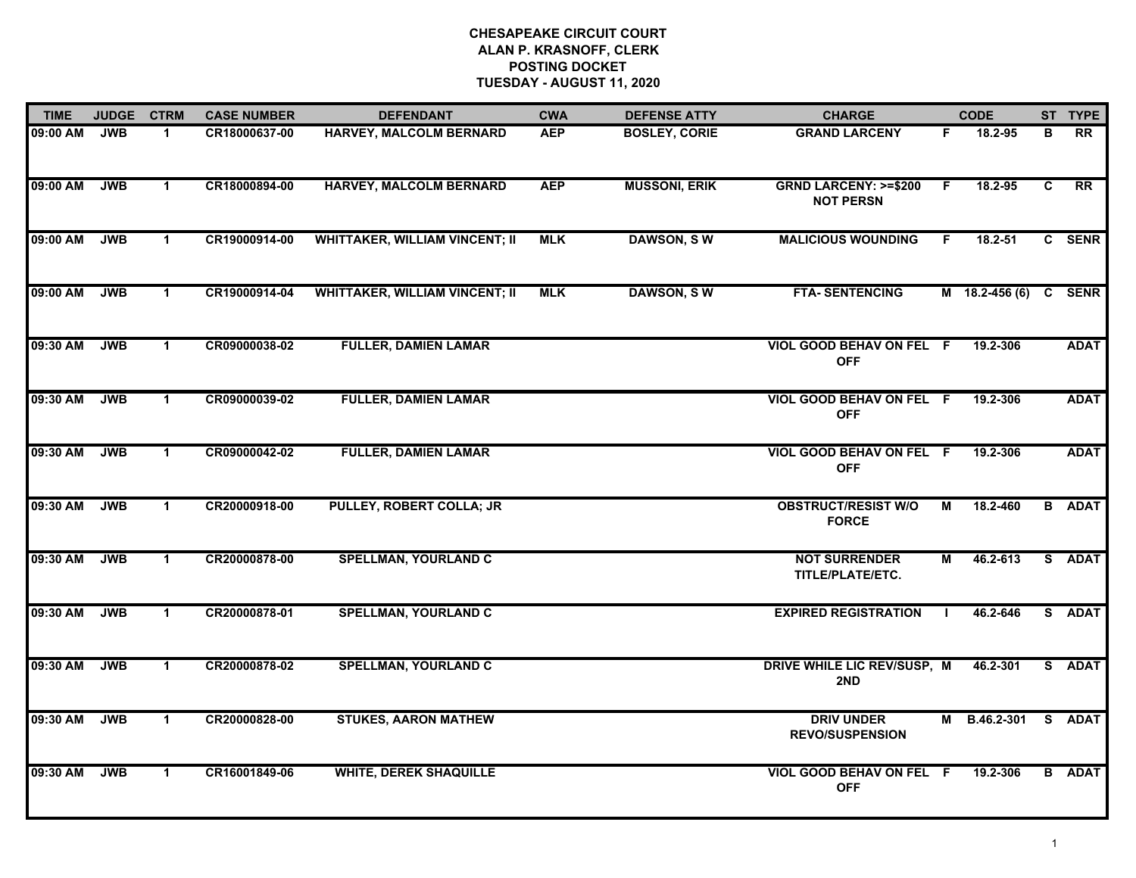| <b>TIME</b> | <b>JUDGE</b> | <b>CTRM</b>  | <b>CASE NUMBER</b> | <b>DEFENDANT</b>                      | <b>CWA</b> | <b>DEFENSE ATTY</b>  | <b>CHARGE</b>                                       |    | <b>CODE</b>           |   | ST TYPE         |
|-------------|--------------|--------------|--------------------|---------------------------------------|------------|----------------------|-----------------------------------------------------|----|-----------------------|---|-----------------|
| 09:00 AM    | <b>JWB</b>   | -1           | CR18000637-00      | <b>HARVEY, MALCOLM BERNARD</b>        | <b>AEP</b> | <b>BOSLEY, CORIE</b> | <b>GRAND LARCENY</b>                                | F. | 18.2-95               | в | $\overline{RR}$ |
| 09:00 AM    | <b>JWB</b>   | $\mathbf{1}$ | CR18000894-00      | <b>HARVEY, MALCOLM BERNARD</b>        | <b>AEP</b> | <b>MUSSONI, ERIK</b> | <b>GRND LARCENY: &gt;=\$200</b><br><b>NOT PERSN</b> | F. | 18.2-95               | C | $\overline{RR}$ |
| 09:00 AM    | <b>JWB</b>   | $\mathbf 1$  | CR19000914-00      | <b>WHITTAKER, WILLIAM VINCENT; II</b> | <b>MLK</b> | <b>DAWSON, SW</b>    | <b>MALICIOUS WOUNDING</b>                           | F. | 18.2-51               |   | C SENR          |
| 09:00 AM    | <b>JWB</b>   | $\mathbf{1}$ | CR19000914-04      | <b>WHITTAKER, WILLIAM VINCENT; II</b> | <b>MLK</b> | <b>DAWSON, SW</b>    | <b>FTA-SENTENCING</b>                               |    | M 18.2-456 (6) C SENR |   |                 |
| 09:30 AM    | <b>JWB</b>   | $\mathbf{1}$ | CR09000038-02      | <b>FULLER, DAMIEN LAMAR</b>           |            |                      | VIOL GOOD BEHAV ON FEL F<br><b>OFF</b>              |    | 19.2-306              |   | <b>ADAT</b>     |
| 09:30 AM    | <b>JWB</b>   | $\mathbf{1}$ | CR09000039-02      | <b>FULLER, DAMIEN LAMAR</b>           |            |                      | VIOL GOOD BEHAV ON FEL F<br><b>OFF</b>              |    | 19.2-306              |   | <b>ADAT</b>     |
| 09:30 AM    | <b>JWB</b>   | $\mathbf{1}$ | CR09000042-02      | <b>FULLER, DAMIEN LAMAR</b>           |            |                      | VIOL GOOD BEHAV ON FEL F<br><b>OFF</b>              |    | 19.2-306              |   | <b>ADAT</b>     |
| 09:30 AM    | <b>JWB</b>   | $\mathbf{1}$ | CR20000918-00      | PULLEY, ROBERT COLLA; JR              |            |                      | <b>OBSTRUCT/RESIST W/O</b><br><b>FORCE</b>          | М  | 18.2-460              |   | <b>B</b> ADAT   |
| 09:30 AM    | <b>JWB</b>   | $\mathbf{1}$ | CR20000878-00      | <b>SPELLMAN, YOURLAND C</b>           |            |                      | <b>NOT SURRENDER</b><br>TITLE/PLATE/ETC.            | М  | 46.2-613              |   | S ADAT          |
| 09:30 AM    | <b>JWB</b>   | $\mathbf{1}$ | CR20000878-01      | <b>SPELLMAN, YOURLAND C</b>           |            |                      | <b>EXPIRED REGISTRATION</b>                         | -1 | 46.2-646              |   | S ADAT          |
| 09:30 AM    | <b>JWB</b>   | $\mathbf 1$  | CR20000878-02      | <b>SPELLMAN, YOURLAND C</b>           |            |                      | DRIVE WHILE LIC REV/SUSP, M<br>2ND                  |    | 46.2-301              |   | S ADAT          |
| 09:30 AM    | <b>JWB</b>   | $\mathbf{1}$ | CR20000828-00      | <b>STUKES, AARON MATHEW</b>           |            |                      | <b>DRIV UNDER</b><br><b>REVO/SUSPENSION</b>         | М  | B.46.2-301            |   | S ADAT          |
| 09:30 AM    | <b>JWB</b>   | $\mathbf{1}$ | CR16001849-06      | <b>WHITE, DEREK SHAQUILLE</b>         |            |                      | VIOL GOOD BEHAV ON FEL F<br><b>OFF</b>              |    | 19.2-306              |   | <b>B</b> ADAT   |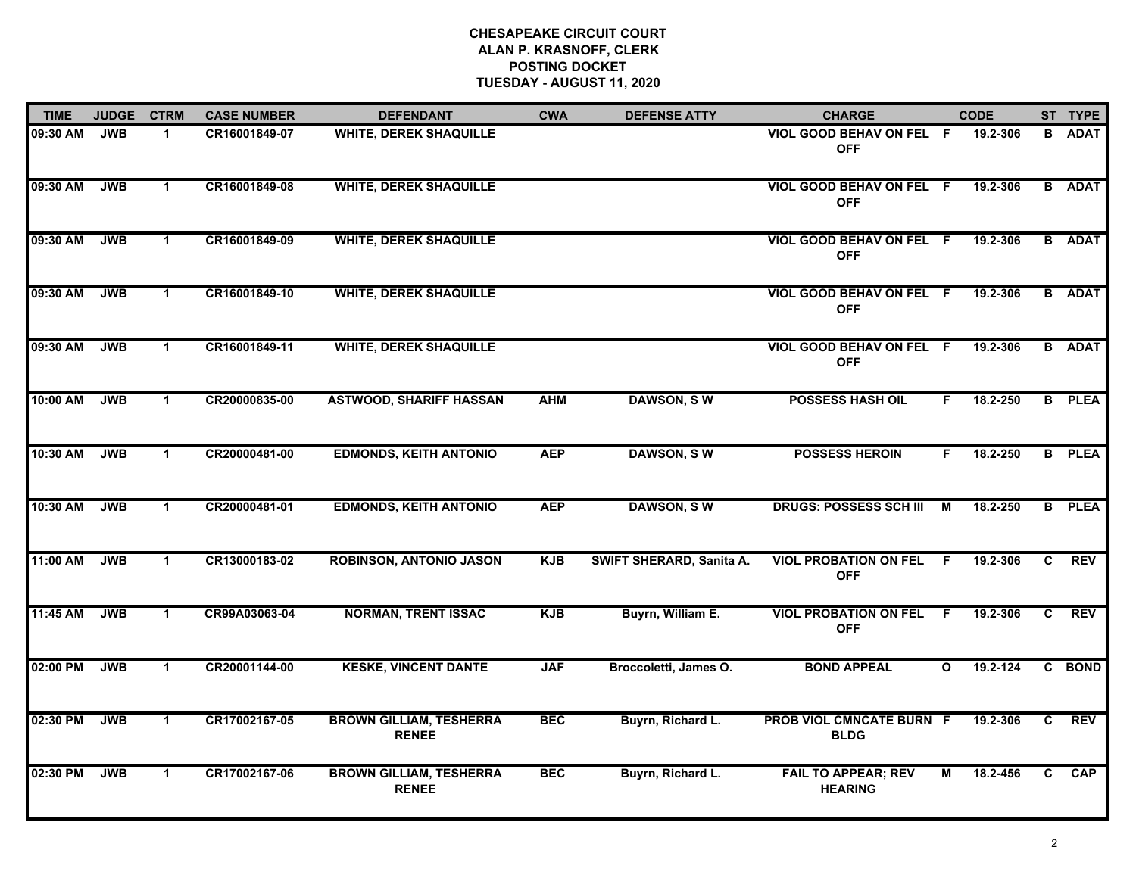| <b>TIME</b> | <b>JUDGE</b> | <b>CTRM</b>          | <b>CASE NUMBER</b> | <b>DEFENDANT</b>                               | <b>CWA</b> | <b>DEFENSE ATTY</b>      | <b>CHARGE</b>                                 |                         | <b>CODE</b> |                | ST TYPE       |
|-------------|--------------|----------------------|--------------------|------------------------------------------------|------------|--------------------------|-----------------------------------------------|-------------------------|-------------|----------------|---------------|
| 09:30 AM    | <b>JWB</b>   | $\blacktriangleleft$ | CR16001849-07      | <b>WHITE, DEREK SHAQUILLE</b>                  |            |                          | VIOL GOOD BEHAV ON FEL F<br><b>OFF</b>        |                         | 19.2-306    |                | <b>B</b> ADAT |
| 09:30 AM    | <b>JWB</b>   | $\blacktriangleleft$ | CR16001849-08      | <b>WHITE, DEREK SHAQUILLE</b>                  |            |                          | VIOL GOOD BEHAV ON FEL F<br><b>OFF</b>        |                         | 19.2-306    |                | <b>B</b> ADAT |
| 09:30 AM    | <b>JWB</b>   | $\mathbf{1}$         | CR16001849-09      | <b>WHITE, DEREK SHAQUILLE</b>                  |            |                          | <b>VIOL GOOD BEHAV ON FEL F</b><br><b>OFF</b> |                         | 19.2-306    |                | <b>B</b> ADAT |
| 09:30 AM    | <b>JWB</b>   | $\mathbf{1}$         | CR16001849-10      | <b>WHITE, DEREK SHAQUILLE</b>                  |            |                          | VIOL GOOD BEHAV ON FEL F<br><b>OFF</b>        |                         | 19.2-306    |                | <b>B</b> ADAT |
| 09:30 AM    | <b>JWB</b>   | $\mathbf{1}$         | CR16001849-11      | <b>WHITE, DEREK SHAQUILLE</b>                  |            |                          | VIOL GOOD BEHAV ON FEL F<br><b>OFF</b>        |                         | 19.2-306    |                | <b>B</b> ADAT |
| 10:00 AM    | <b>JWB</b>   | $\mathbf{1}$         | CR20000835-00      | <b>ASTWOOD, SHARIFF HASSAN</b>                 | <b>AHM</b> | <b>DAWSON, SW</b>        | <b>POSSESS HASH OIL</b>                       | F.                      | 18.2-250    |                | <b>B</b> PLEA |
| 10:30 AM    | <b>JWB</b>   | $\mathbf{1}$         | CR20000481-00      | <b>EDMONDS, KEITH ANTONIO</b>                  | <b>AEP</b> | <b>DAWSON, SW</b>        | <b>POSSESS HEROIN</b>                         | F.                      | 18.2-250    |                | <b>B</b> PLEA |
| 10:30 AM    | <b>JWB</b>   | $\mathbf{1}$         | CR20000481-01      | <b>EDMONDS, KEITH ANTONIO</b>                  | <b>AEP</b> | <b>DAWSON, SW</b>        | <b>DRUGS: POSSESS SCH III</b>                 | M                       | 18.2-250    |                | <b>B</b> PLEA |
| 11:00 AM    | <b>JWB</b>   | $\blacktriangleleft$ | CR13000183-02      | <b>ROBINSON, ANTONIO JASON</b>                 | <b>KJB</b> | SWIFT SHERARD, Sanita A. | <b>VIOL PROBATION ON FEL</b><br><b>OFF</b>    | E                       | 19.2-306    | C              | <b>REV</b>    |
| 11:45 AM    | <b>JWB</b>   | $\mathbf 1$          | CR99A03063-04      | <b>NORMAN, TRENT ISSAC</b>                     | <b>KJB</b> | Buyrn, William E.        | <b>VIOL PROBATION ON FEL</b><br><b>OFF</b>    | - F                     | 19.2-306    | C              | <b>REV</b>    |
| 02:00 PM    | <b>JWB</b>   | $\mathbf{1}$         | CR20001144-00      | <b>KESKE, VINCENT DANTE</b>                    | <b>JAF</b> | Broccoletti, James O.    | <b>BOND APPEAL</b>                            | $\mathbf{o}$            | 19.2-124    |                | C BOND        |
| 02:30 PM    | <b>JWB</b>   | $\mathbf 1$          | CR17002167-05      | <b>BROWN GILLIAM, TESHERRA</b><br><b>RENEE</b> | <b>BEC</b> | Buyrn, Richard L.        | PROB VIOL CMNCATE BURN F<br><b>BLDG</b>       |                         | 19.2-306    | C.             | <b>REV</b>    |
| 02:30 PM    | <b>JWB</b>   | $\mathbf{1}$         | CR17002167-06      | <b>BROWN GILLIAM, TESHERRA</b><br><b>RENEE</b> | <b>BEC</b> | Buyrn, Richard L.        | <b>FAIL TO APPEAR; REV</b><br><b>HEARING</b>  | $\overline{\mathsf{M}}$ | 18.2-456    | $\overline{c}$ | CAP           |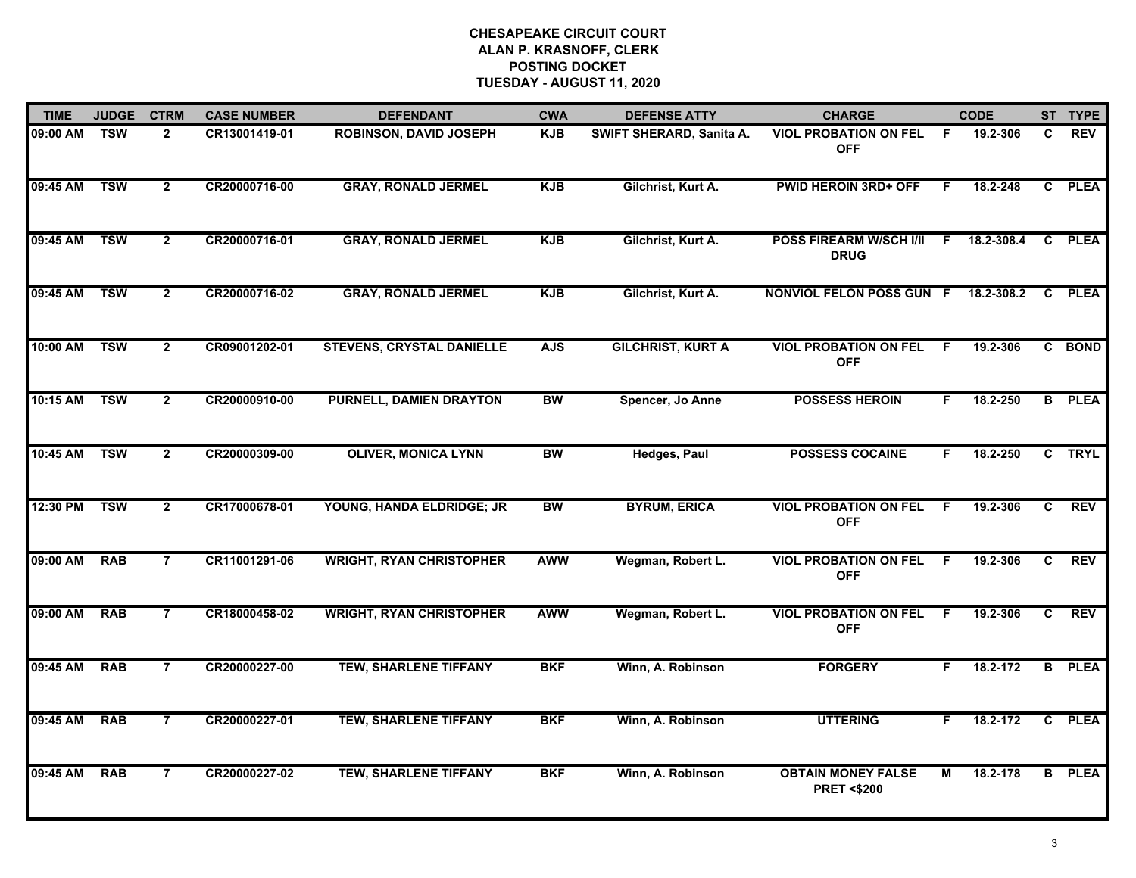| <b>TIME</b>  | <b>JUDGE</b>            | <b>CTRM</b>    | <b>CASE NUMBER</b> | <b>DEFENDANT</b>                 | <b>CWA</b> | <b>DEFENSE ATTY</b>      | <b>CHARGE</b>                                      |     | <b>CODE</b> |              | ST TYPE       |
|--------------|-------------------------|----------------|--------------------|----------------------------------|------------|--------------------------|----------------------------------------------------|-----|-------------|--------------|---------------|
| 09:00 AM     | <b>TSW</b>              | $\overline{2}$ | CR13001419-01      | <b>ROBINSON, DAVID JOSEPH</b>    | <b>KJB</b> | SWIFT SHERARD, Sanita A. | <b>VIOL PROBATION ON FEL</b><br><b>OFF</b>         | - F | 19.2-306    | C.           | <b>REV</b>    |
| 09:45 AM     | <b>TSW</b>              | $\overline{2}$ | CR20000716-00      | <b>GRAY, RONALD JERMEL</b>       | <b>KJB</b> | Gilchrist, Kurt A.       | <b>PWID HEROIN 3RD+ OFF</b>                        | F   | 18.2-248    |              | C PLEA        |
| 09:45 AM     | <b>TSW</b>              | $\overline{2}$ | CR20000716-01      | <b>GRAY, RONALD JERMEL</b>       | <b>KJB</b> | Gilchrist, Kurt A.       | <b>POSS FIREARM W/SCH I/II</b><br><b>DRUG</b>      | F.  | 18.2-308.4  | $\mathbf{c}$ | <b>PLEA</b>   |
| 09:45 AM     | <b>TSW</b>              | $\overline{2}$ | CR20000716-02      | <b>GRAY, RONALD JERMEL</b>       | <b>KJB</b> | Gilchrist, Kurt A.       | NONVIOL FELON POSS GUN F                           |     | 18.2-308.2  | C            | <b>PLEA</b>   |
| 10:00 AM     | <b>TSW</b>              | $\overline{2}$ | CR09001202-01      | <b>STEVENS, CRYSTAL DANIELLE</b> | <b>AJS</b> | <b>GILCHRIST, KURT A</b> | <b>VIOL PROBATION ON FEL</b><br><b>OFF</b>         | F   | 19.2-306    |              | C BOND        |
| 10:15 AM TSW |                         | $\mathbf{2}$   | CR20000910-00      | <b>PURNELL, DAMIEN DRAYTON</b>   | BW         | Spencer, Jo Anne         | <b>POSSESS HEROIN</b>                              | F.  | 18.2-250    |              | <b>B</b> PLEA |
| 10:45 AM     | $\overline{\text{TSW}}$ | $\overline{2}$ | CR20000309-00      | <b>OLIVER, MONICA LYNN</b>       | <b>BW</b>  | <b>Hedges, Paul</b>      | <b>POSSESS COCAINE</b>                             | F   | 18.2-250    | $\mathbf{c}$ | <b>TRYL</b>   |
| 12:30 PM     | <b>TSW</b>              | $\overline{2}$ | CR17000678-01      | YOUNG, HANDA ELDRIDGE; JR        | <b>BW</b>  | <b>BYRUM, ERICA</b>      | <b>VIOL PROBATION ON FEL</b><br><b>OFF</b>         | F   | 19.2-306    | C            | <b>REV</b>    |
| 09:00 AM     | <b>RAB</b>              | $\overline{7}$ | CR11001291-06      | <b>WRIGHT, RYAN CHRISTOPHER</b>  | <b>AWW</b> | Wegman, Robert L.        | <b>VIOL PROBATION ON FEL</b><br><b>OFF</b>         | F.  | 19.2-306    | C.           | <b>REV</b>    |
| 09:00 AM     | <b>RAB</b>              | $\overline{7}$ | CR18000458-02      | <b>WRIGHT, RYAN CHRISTOPHER</b>  | <b>AWW</b> | Wegman, Robert L.        | <b>VIOL PROBATION ON FEL</b><br><b>OFF</b>         | F   | 19.2-306    | C            | <b>REV</b>    |
| 09:45 AM     | <b>RAB</b>              | $\overline{7}$ | CR20000227-00      | <b>TEW, SHARLENE TIFFANY</b>     | <b>BKF</b> | Winn, A. Robinson        | <b>FORGERY</b>                                     | F.  | 18.2-172    |              | <b>B</b> PLEA |
| 09:45 AM     | <b>RAB</b>              | $\overline{7}$ | CR20000227-01      | <b>TEW, SHARLENE TIFFANY</b>     | <b>BKF</b> | Winn, A. Robinson        | <b>UTTERING</b>                                    | F.  | 18.2-172    | C.           | <b>PLEA</b>   |
| 09:45 AM     | <b>RAB</b>              | $\overline{7}$ | CR20000227-02      | <b>TEW, SHARLENE TIFFANY</b>     | <b>BKF</b> | Winn, A. Robinson        | <b>OBTAIN MONEY FALSE</b><br><b>PRET &lt;\$200</b> | м   | 18.2-178    |              | <b>B</b> PLEA |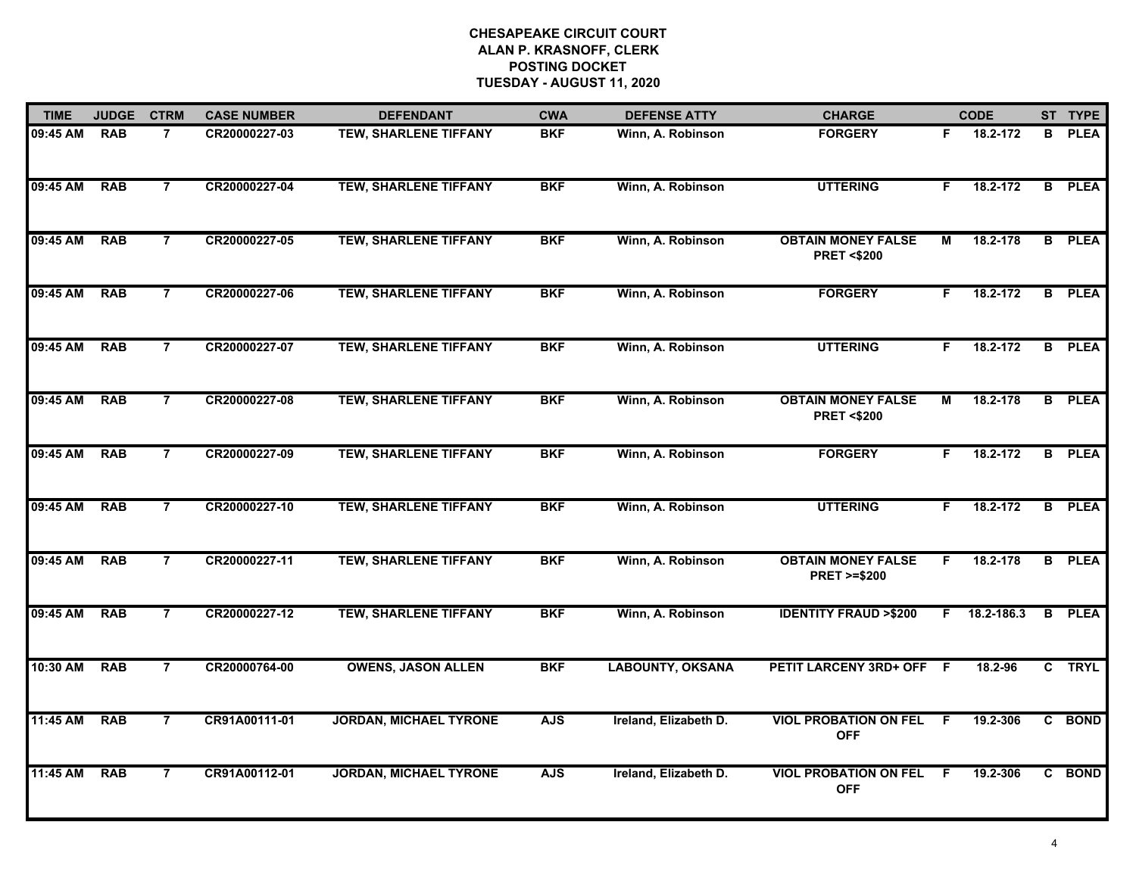| <b>TIME</b> | <b>JUDGE</b> | <b>CTRM</b>    | <b>CASE NUMBER</b> | <b>DEFENDANT</b>              | <b>CWA</b> | <b>DEFENSE ATTY</b>     | <b>CHARGE</b>                                       |                | <b>CODE</b> |    | ST TYPE       |
|-------------|--------------|----------------|--------------------|-------------------------------|------------|-------------------------|-----------------------------------------------------|----------------|-------------|----|---------------|
| 09:45 AM    | <b>RAB</b>   | $\overline{7}$ | CR20000227-03      | <b>TEW, SHARLENE TIFFANY</b>  | <b>BKF</b> | Winn, A. Robinson       | <b>FORGERY</b>                                      | F.             | 18.2-172    | B  | <b>PLEA</b>   |
| 09:45 AM    | <b>RAB</b>   | $\overline{7}$ | CR20000227-04      | <b>TEW, SHARLENE TIFFANY</b>  | <b>BKF</b> | Winn, A. Robinson       | <b>UTTERING</b>                                     | F.             | 18.2-172    |    | <b>B</b> PLEA |
| 09:45 AM    | <b>RAB</b>   | $\overline{7}$ | CR20000227-05      | <b>TEW, SHARLENE TIFFANY</b>  | <b>BKF</b> | Winn, A. Robinson       | <b>OBTAIN MONEY FALSE</b><br><b>PRET &lt;\$200</b>  | М              | 18.2-178    |    | <b>B</b> PLEA |
| 09:45 AM    | <b>RAB</b>   | $\overline{7}$ | CR20000227-06      | <b>TEW, SHARLENE TIFFANY</b>  | <b>BKF</b> | Winn, A. Robinson       | <b>FORGERY</b>                                      | F.             | 18.2-172    |    | <b>B</b> PLEA |
| 09:45 AM    | <b>RAB</b>   | $\overline{7}$ | CR20000227-07      | <b>TEW, SHARLENE TIFFANY</b>  | <b>BKF</b> | Winn, A. Robinson       | <b>UTTERING</b>                                     | F.             | 18.2-172    |    | <b>B</b> PLEA |
| 09:45 AM    | <b>RAB</b>   | $\overline{7}$ | CR20000227-08      | <b>TEW, SHARLENE TIFFANY</b>  | <b>BKF</b> | Winn, A. Robinson       | <b>OBTAIN MONEY FALSE</b><br><b>PRET &lt;\$200</b>  | М              | 18.2-178    |    | <b>B</b> PLEA |
| 09:45 AM    | <b>RAB</b>   | $\overline{7}$ | CR20000227-09      | <b>TEW, SHARLENE TIFFANY</b>  | <b>BKF</b> | Winn, A. Robinson       | <b>FORGERY</b>                                      | F.             | 18.2-172    |    | <b>B</b> PLEA |
| 09:45 AM    | <b>RAB</b>   | $\overline{7}$ | CR20000227-10      | <b>TEW, SHARLENE TIFFANY</b>  | <b>BKF</b> | Winn, A. Robinson       | <b>UTTERING</b>                                     | F.             | 18.2-172    |    | <b>B</b> PLEA |
| 09:45 AM    | <b>RAB</b>   | $\overline{7}$ | CR20000227-11      | <b>TEW, SHARLENE TIFFANY</b>  | <b>BKF</b> | Winn, A. Robinson       | <b>OBTAIN MONEY FALSE</b><br><b>PRET &gt;=\$200</b> | F.             | 18.2-178    | B. | <b>PLEA</b>   |
| 09:45 AM    | <b>RAB</b>   | $\overline{7}$ | CR20000227-12      | <b>TEW, SHARLENE TIFFANY</b>  | <b>BKF</b> | Winn, A. Robinson       | <b>IDENTITY FRAUD &gt;\$200</b>                     | F.             | 18.2-186.3  | B  | <b>PLEA</b>   |
| 10:30 AM    | <b>RAB</b>   | 7              | CR20000764-00      | <b>OWENS, JASON ALLEN</b>     | <b>BKF</b> | <b>LABOUNTY, OKSANA</b> | PETIT LARCENY 3RD+ OFF F                            |                | 18.2-96     |    | C TRYL        |
| 11:45 AM    | <b>RAB</b>   | $\overline{7}$ | CR91A00111-01      | <b>JORDAN, MICHAEL TYRONE</b> | <b>AJS</b> | Ireland, Elizabeth D.   | <b>VIOL PROBATION ON FEL</b><br><b>OFF</b>          | $\overline{F}$ | 19.2-306    |    | C BOND        |
| 11:45 AM    | <b>RAB</b>   | $\overline{7}$ | CR91A00112-01      | <b>JORDAN, MICHAEL TYRONE</b> | <b>AJS</b> | Ireland, Elizabeth D.   | <b>VIOL PROBATION ON FEL</b><br><b>OFF</b>          | -F             | 19.2-306    |    | C BOND        |